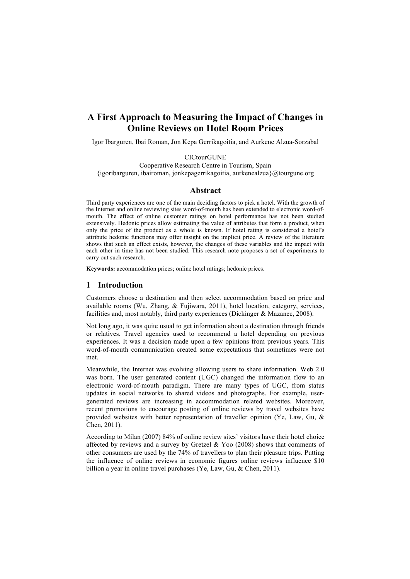# **A First Approach to Measuring the Impact of Changes in Online Reviews on Hotel Room Prices**

Igor Ibarguren, Ibai Roman, Jon Kepa Gerrikagoitia, and Aurkene Alzua-Sorzabal

**CICtourGUNE** 

Cooperative Research Centre in Tourism, Spain

 ${i$ goribarguren, ibairoman, jonkepagerrikagoitia, aurkenealzua ${a}$ ( $@$ tourgune.org

## **Abstract**

Third party experiences are one of the main deciding factors to pick a hotel. With the growth of the Internet and online reviewing sites word-of-mouth has been extended to electronic word-ofmouth. The effect of online customer ratings on hotel performance has not been studied extensively. Hedonic prices allow estimating the value of attributes that form a product, when only the price of the product as a whole is known. If hotel rating is considered a hotel's attribute hedonic functions may offer insight on the implicit price. A review of the literature shows that such an effect exists, however, the changes of these variables and the impact with each other in time has not been studied. This research note proposes a set of experiments to carry out such research.

**Keywords:** accommodation prices; online hotel ratings; hedonic prices.

#### **1 Introduction**

Customers choose a destination and then select accommodation based on price and available rooms (Wu, Zhang, & Fujiwara, 2011), hotel location, category, services, facilities and, most notably, third party experiences (Dickinger & Mazanec, 2008).

Not long ago, it was quite usual to get information about a destination through friends or relatives. Travel agencies used to recommend a hotel depending on previous experiences. It was a decision made upon a few opinions from previous years. This word-of-mouth communication created some expectations that sometimes were not met.

Meanwhile, the Internet was evolving allowing users to share information. Web 2.0 was born. The user generated content (UGC) changed the information flow to an electronic word-of-mouth paradigm. There are many types of UGC, from status updates in social networks to shared videos and photographs. For example, usergenerated reviews are increasing in accommodation related websites. Moreover, recent promotions to encourage posting of online reviews by travel websites have provided websites with better representation of traveller opinion (Ye, Law, Gu, & Chen, 2011).

According to Milan (2007) 84% of online review sites' visitors have their hotel choice affected by reviews and a survey by Gretzel  $& Yoo (2008)$  shows that comments of other consumers are used by the 74% of travellers to plan their pleasure trips. Putting the influence of online reviews in economic figures online reviews influence \$10 billion a year in online travel purchases (Ye, Law, Gu, & Chen, 2011).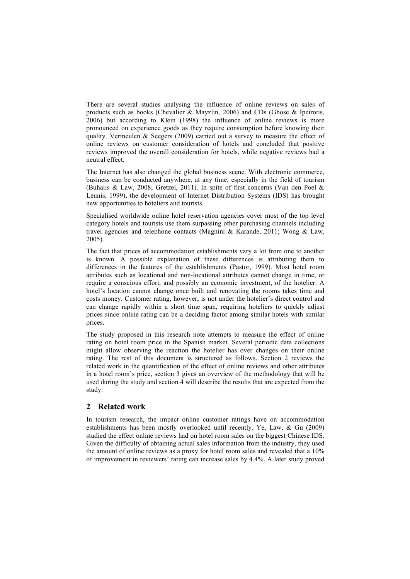There are several studies analysing the influence of online reviews on sales of products such as books (Chevalier & Mayzlin, 2006) and CDs (Ghose & Ipeirotis, 2006) but according to Klein (1998) the influence of online reviews is more pronounced on experience goods as they require consumption before knowing their quality. Vermeulen  $& Seegers (2009)$  carried out a survey to measure the effect of online reviews on customer consideration of hotels and concluded that positive reviews improved the overall consideration for hotels, while negative reviews had a neutral effect.

The Internet has also changed the global business scene. With electronic commerce, business can be conducted anywhere, at any time, especially in the field of tourism (Buhalis & Law, 2008; Gretzel, 2011). In spite of first concerns (Van den Poel & Leunis, 1999), the development of Internet Distribution Systems (IDS) has brought new opportunities to hoteliers and tourists.

Specialised worldwide online hotel reservation agencies cover most of the top level category hotels and tourists use them surpassing other purchasing channels including travel agencies and telephone contacts (Magnini & Karande, 2011; Wong & Law, 2005).

The fact that prices of accommodation establishments vary a lot from one to another is known. A possible explanation of these differences is attributing them to differences in the features of the establishments (Pastor, 1999). Most hotel room attributes such as locational and non-locational attributes cannot change in time, or require a conscious effort, and possibly an economic investment, of the hotelier. A hotel's location cannot change once built and renovating the rooms takes time and costs money. Customer rating, however, is not under the hotelier's direct control and can change rapidly within a short time span, requiring hoteliers to quickly adjust prices since online rating can be a deciding factor among similar hotels with similar prices.

The study proposed in this research note attempts to measure the effect of online rating on hotel room price in the Spanish market. Several periodic data collections might allow observing the reaction the hotelier has over changes on their online rating. The rest of this document is structured as follows. Section 2 reviews the related work in the quantification of the effect of online reviews and other attributes in a hotel room's price, section 3 gives an overview of the methodology that will be used during the study and section 4 will describe the results that are expected from the study.

## **2 Related work**

In tourism research, the impact online customer ratings have on accommodation establishments has been mostly overlooked until recently. Ye, Law, & Gu (2009) studied the effect online reviews had on hotel room sales on the biggest Chinese IDS. Given the difficulty of obtaining actual sales information from the industry, they used the amount of online reviews as a proxy for hotel room sales and revealed that a 10% of improvement in reviewers' rating can increase sales by 4.4%. A later study proved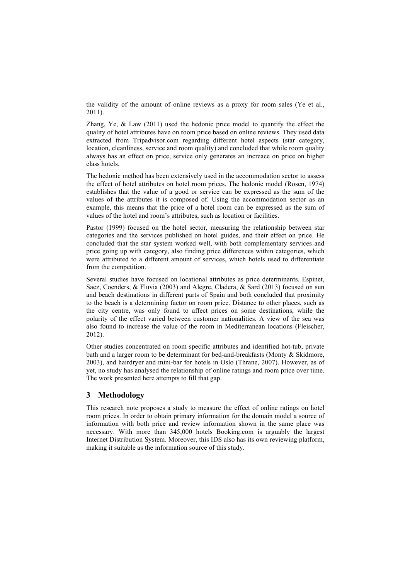the validity of the amount of online reviews as a proxy for room sales (Ye et al., 2011).

Zhang, Ye,  $\&$  Law (2011) used the hedonic price model to quantify the effect the quality of hotel attributes have on room price based on online reviews. They used data extracted from Tripadvisor.com regarding different hotel aspects (star category, location, cleanliness, service and room quality) and concluded that while room quality always has an effect on price, service only generates an increace on price on higher class hotels.

The hedonic method has been extensively used in the accommodation sector to assess the effect of hotel attributes on hotel room prices. The hedonic model (Rosen, 1974) establishes that the value of a good or service can be expressed as the sum of the values of the attributes it is composed of. Using the accommodation sector as an example, this means that the price of a hotel room can be expressed as the sum of values of the hotel and room's attributes, such as location or facilities.

Pastor (1999) focused on the hotel sector, measuring the relationship between star categories and the services published on hotel guides, and their effect on price. He concluded that the star system worked well, with both complementary services and price going up with category, also finding price differences within categories, which were attributed to a different amount of services, which hotels used to differentiate from the competition.

Several studies have focused on locational attributes as price determinants. Espinet, Saez, Coenders, & Fluvia (2003) and Alegre, Cladera, & Sard (2013) focused on sun and beach destinations in different parts of Spain and both concluded that proximity to the beach is a determining factor on room price. Distance to other places, such as the city centre, was only found to affect prices on some destinations, while the polarity of the effect varied between customer nationalities. A view of the sea was also found to increase the value of the room in Mediterranean locations (Fleischer, 2012).

Other studies concentrated on room specific attributes and identified hot-tub, private bath and a larger room to be determinant for bed-and-breakfasts (Monty & Skidmore, 2003), and hairdryer and mini-bar for hotels in Oslo (Thrane, 2007). However, as of yet, no study has analysed the relationship of online ratings and room price over time. The work presented here attempts to fill that gap.

## **3 Methodology**

This research note proposes a study to measure the effect of online ratings on hotel room prices. In order to obtain primary information for the domain model a source of information with both price and review information shown in the same place was necessary. With more than 345,000 hotels Booking.com is arguably the largest Internet Distribution System. Moreover, this IDS also has its own reviewing platform, making it suitable as the information source of this study.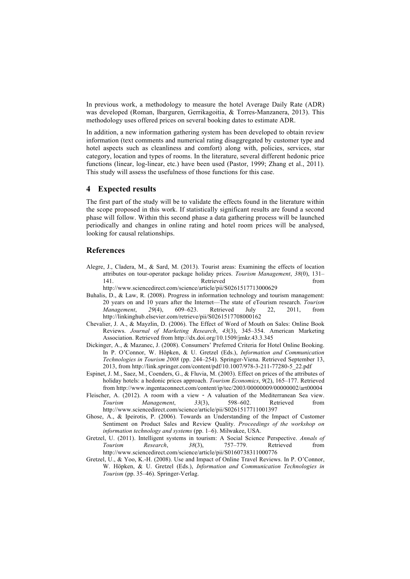In previous work, a methodology to measure the hotel Average Daily Rate (ADR) was developed (Roman, Ibarguren, Gerrikagoitia, & Torres-Manzanera, 2013). This methodology uses offered prices on several booking dates to estimate ADR.

In addition, a new information gathering system has been developed to obtain review information (text comments and numerical rating disaggregated by customer type and hotel aspects such as cleanliness and comfort) along with, policies, services, star category, location and types of rooms. In the literature, several different hedonic price functions (linear, log-linear, etc.) have been used (Pastor, 1999; Zhang et al., 2011). This study will assess the usefulness of those functions for this case.

## **4 Expected results**

The first part of the study will be to validate the effects found in the literature within the scope proposed in this work. If statistically significant results are found a second phase will follow. Within this second phase a data gathering process will be launched periodically and changes in online rating and hotel room prices will be analysed, looking for causal relationships.

#### **References**

- Alegre, J., Cladera, M., & Sard, M. (2013). Tourist areas: Examining the effects of location attributes on tour-operator package holiday prices. *Tourism Management*, *38*(0), 131– 141. Retrieved from
- http://www.sciencedirect.com/science/article/pii/S0261517713000629
- Buhalis, D., & Law, R. (2008). Progress in information technology and tourism management: 20 years on and 10 years after the Internet—The state of eTourism research. *Tourism Management*, *29*(4), 609–623. Retrieved July 22, 2011, from http://linkinghub.elsevier.com/retrieve/pii/S0261517708000162
- Chevalier, J. A., & Mayzlin, D. (2006). The Effect of Word of Mouth on Sales: Online Book Reviews. *Journal of Marketing Research*, *43*(3), 345–354. American Marketing Association. Retrieved from http://dx.doi.org/10.1509/jmkr.43.3.345
- Dickinger, A., & Mazanec, J. (2008). Consumers' Preferred Criteria for Hotel Online Booking. In P. O'Connor, W. Höpken, & U. Gretzel (Eds.), *Information and Communication Technologies in Tourism 2008* (pp. 244–254). Springer-Viena. Retrieved September 13, 2013, from http://link.springer.com/content/pdf/10.1007/978-3-211-77280-5\_22.pdf
- Espinet, J. M., Saez, M., Coenders, G., & Fluvia, M. (2003). Effect on prices of the attributes of holiday hotels: a hedonic prices approach. *Tourism Economics*, *9*(2), 165–177. Retrieved from http://www.ingentaconnect.com/content/ip/tec/2003/00000009/00000002/art00004
- Fleischer, A. (2012). A room with a view A valuation of the Mediterranean Sea view. *Tourism Management*, *33*(3), 598–602. Retrieved from http://www.sciencedirect.com/science/article/pii/S0261517711001397
- Ghose, A., & Ipeirotis, P. (2006). Towards an Understanding of the Impact of Customer Sentiment on Product Sales and Review Quality. *Proceedings of the workshop on information technology and systems* (pp. 1–6). Milwakee, USA.
- Gretzel, U. (2011). Intelligent systems in tourism: A Social Science Perspective. *Annals of Tourism Research*, *38*(3), 757–779. Retrieved from http://www.sciencedirect.com/science/article/pii/S0160738311000776
- Gretzel, U., & Yoo, K.-H. (2008). Use and Impact of Online Travel Reviews. In P. O'Connor, W. Höpken, & U. Gretzel (Eds.), *Information and Communication Technologies in Tourism* (pp. 35–46). Springer-Verlag.